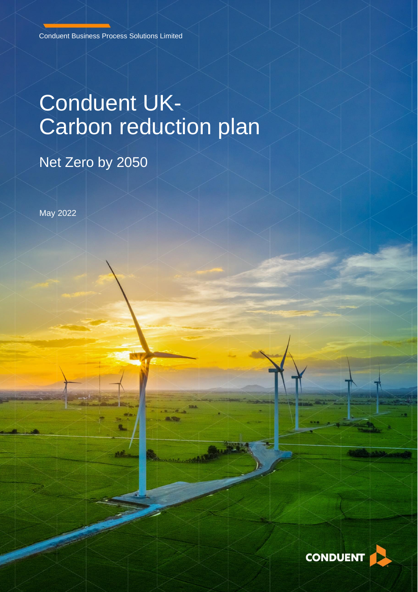# Conduent UK-Carbon reduction plan

# Net Zero by 2050

May 2022

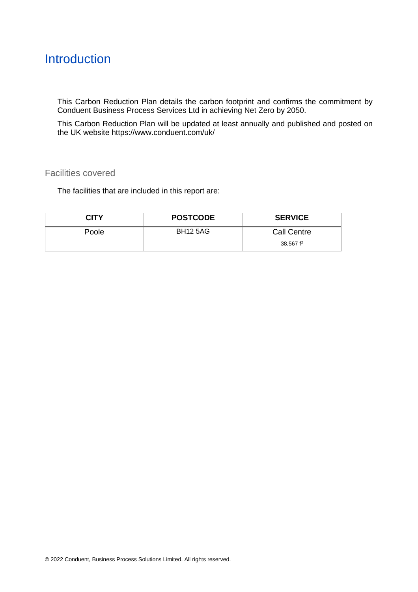## **Introduction**

This Carbon Reduction Plan details the carbon footprint and confirms the commitment by Conduent Business Process Services Ltd in achieving Net Zero by 2050.

This Carbon Reduction Plan will be updated at least annually and published and posted on the [UK website](https://www.conduent.com/uk/conduent-public-services/) <https://www.conduent.com/uk/>

#### Facilities covered

The facilities that are included in this report are:

| CITY  | <b>POSTCODE</b> | <b>SERVICE</b>     |
|-------|-----------------|--------------------|
| Poole | <b>BH12 5AG</b> | <b>Call Centre</b> |
|       |                 | 38,567 $f2$        |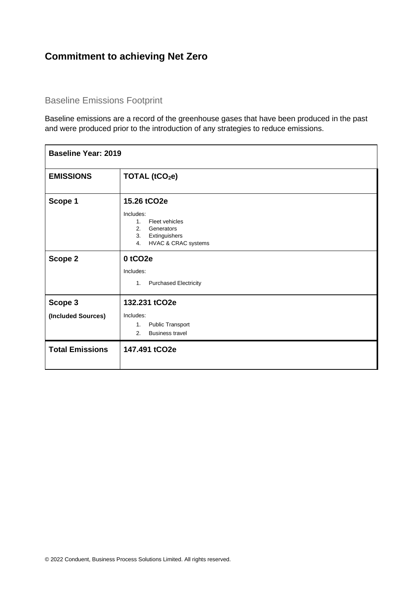### **Commitment to achieving Net Zero**

#### Baseline Emissions Footprint

Baseline emissions are a record of the greenhouse gases that have been produced in the past and were produced prior to the introduction of any strategies to reduce emissions.

| <b>Baseline Year: 2019</b>    |                                                                                                                                      |  |
|-------------------------------|--------------------------------------------------------------------------------------------------------------------------------------|--|
| <b>EMISSIONS</b>              | TOTAL (tCO <sub>2</sub> e)                                                                                                           |  |
| Scope 1                       | 15.26 tCO2e<br>Includes:<br>Fleet vehicles<br>1 <sub>1</sub><br>2.<br>Generators<br>Extinguishers<br>3.<br>HVAC & CRAC systems<br>4. |  |
| Scope 2                       | 0 tCO <sub>2e</sub><br>Includes:<br>1.<br><b>Purchased Electricity</b>                                                               |  |
| Scope 3<br>(Included Sources) | 132.231 tCO2e<br>Includes:<br><b>Public Transport</b><br>1.<br><b>Business travel</b><br>2.                                          |  |
| <b>Total Emissions</b>        | 147.491 tCO2e                                                                                                                        |  |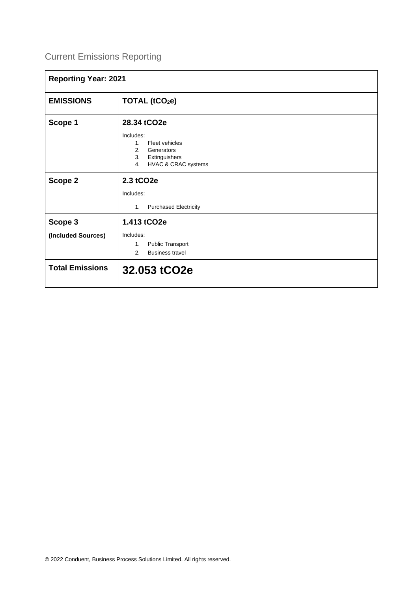## Current Emissions Reporting

| <b>Reporting Year: 2021</b> |                                                                                                                       |
|-----------------------------|-----------------------------------------------------------------------------------------------------------------------|
| <b>EMISSIONS</b>            | TOTAL (tCO <sub>2</sub> e)                                                                                            |
| Scope 1                     | 28.34 tCO2e                                                                                                           |
|                             | Includes:<br>Fleet vehicles<br>1 <sup>1</sup><br>2.<br>Generators<br>Extinguishers<br>3.<br>HVAC & CRAC systems<br>4. |
| Scope 2                     | 2.3 tCO2e                                                                                                             |
|                             | Includes:                                                                                                             |
|                             | <b>Purchased Electricity</b><br>1.                                                                                    |
| Scope 3                     | 1.413 tCO2e                                                                                                           |
| (Included Sources)          | Includes:<br><b>Public Transport</b><br>1.<br><b>Business travel</b><br>2.                                            |
| <b>Total Emissions</b>      | 32.053 tCO2e                                                                                                          |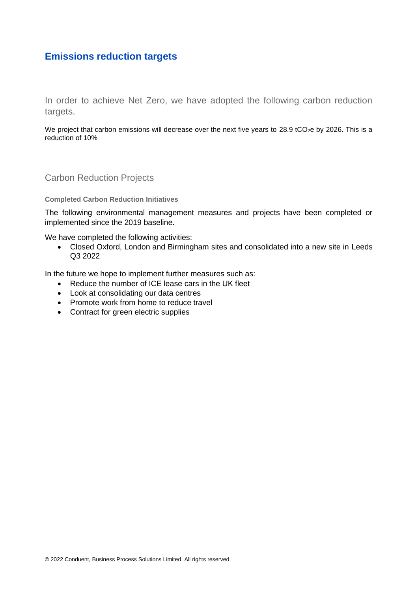#### **Emissions reduction targets**

In order to achieve Net Zero, we have adopted the following carbon reduction targets.

We project that carbon emissions will decrease over the next five years to 28.9 tCO<sub>2</sub>e by 2026. This is a reduction of 10%

Carbon Reduction Projects

**Completed Carbon Reduction Initiatives**

The following environmental management measures and projects have been completed or implemented since the 2019 baseline.

We have completed the following activities:

• Closed Oxford, London and Birmingham sites and consolidated into a new site in Leeds Q3 2022

In the future we hope to implement further measures such as:

- Reduce the number of ICE lease cars in the UK fleet
- Look at consolidating our data centres
- Promote work from home to reduce travel
- Contract for green electric supplies